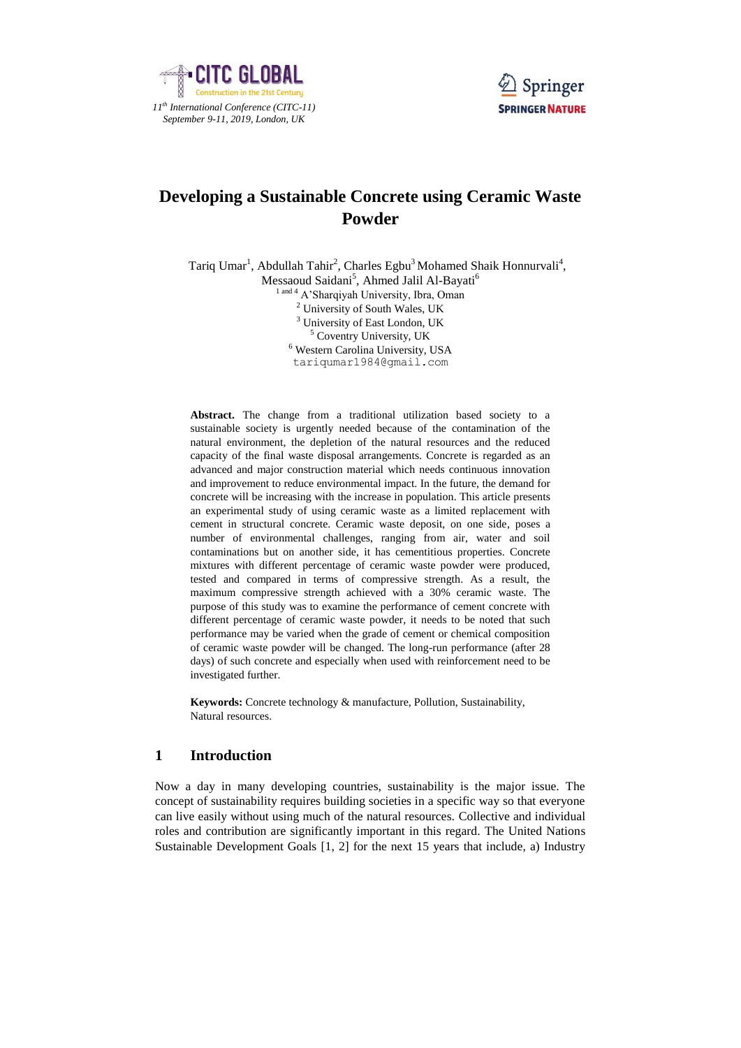



# **Developing a Sustainable Concrete using Ceramic Waste Powder**

Tariq Umar<sup>1</sup>, Abdullah Tahir<sup>2</sup>, Charles Egbu<sup>3</sup> Mohamed Shaik Honnurvali<sup>4</sup>,

Messaoud Saidani<sup>5</sup>, Ahmed Jalil Al-Bayati<sup>6</sup>

<sup>1 and 4</sup> A'Sharqiyah University, Ibra, Oman

<sup>2</sup> University of South Wales, UK

<sup>3</sup> University of East London, UK <sup>5</sup> Coventry University, UK

<sup>6</sup> Western Carolina University, USA

[tariqumar1984@gmail.com](mailto:tariqumar1984@gmail.com)

**Abstract.** The change from a traditional utilization based society to a sustainable society is urgently needed because of the contamination of the natural environment, the depletion of the natural resources and the reduced capacity of the final waste disposal arrangements. Concrete is regarded as an advanced and major construction material which needs continuous innovation and improvement to reduce environmental impact. In the future, the demand for concrete will be increasing with the increase in population. This article presents an experimental study of using ceramic waste as a limited replacement with cement in structural concrete. Ceramic waste deposit, on one side, poses a number of environmental challenges, ranging from air, water and soil contaminations but on another side, it has cementitious properties. Concrete mixtures with different percentage of ceramic waste powder were produced, tested and compared in terms of compressive strength. As a result, the maximum compressive strength achieved with a 30% ceramic waste. The purpose of this study was to examine the performance of cement concrete with different percentage of ceramic waste powder, it needs to be noted that such performance may be varied when the grade of cement or chemical composition of ceramic waste powder will be changed. The long-run performance (after 28 days) of such concrete and especially when used with reinforcement need to be investigated further.

**Keywords:** Concrete technology & manufacture, Pollution, Sustainability, Natural resources.

## **1 Introduction**

Now a day in many developing countries, sustainability is the major issue. The concept of sustainability requires building societies in a specific way so that everyone can live easily without using much of the natural resources. Collective and individual roles and contribution are significantly important in this regard. The United Nations Sustainable Development Goals [1, 2] for the next 15 years that include, a) Industry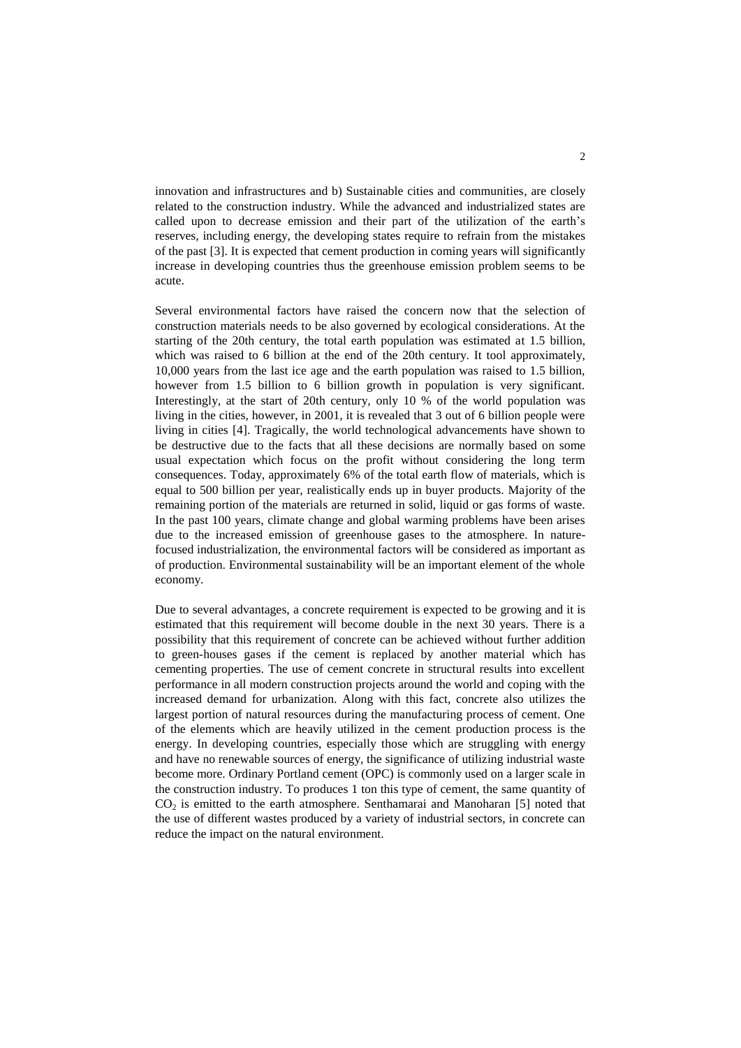innovation and infrastructures and b) Sustainable cities and communities, are closely related to the construction industry. While the advanced and industrialized states are called upon to decrease emission and their part of the utilization of the earth's reserves, including energy, the developing states require to refrain from the mistakes of the past [3]. It is expected that cement production in coming years will significantly increase in developing countries thus the greenhouse emission problem seems to be acute.

Several environmental factors have raised the concern now that the selection of construction materials needs to be also governed by ecological considerations. At the starting of the 20th century, the total earth population was estimated at 1.5 billion, which was raised to 6 billion at the end of the 20th century. It tool approximately, 10,000 years from the last ice age and the earth population was raised to 1.5 billion, however from 1.5 billion to 6 billion growth in population is very significant. Interestingly, at the start of 20th century, only 10 % of the world population was living in the cities, however, in 2001, it is revealed that 3 out of 6 billion people were living in cities [4]. Tragically, the world technological advancements have shown to be destructive due to the facts that all these decisions are normally based on some usual expectation which focus on the profit without considering the long term consequences. Today, approximately 6% of the total earth flow of materials, which is equal to 500 billion per year, realistically ends up in buyer products. Majority of the remaining portion of the materials are returned in solid, liquid or gas forms of waste. In the past 100 years, climate change and global warming problems have been arises due to the increased emission of greenhouse gases to the atmosphere. In naturefocused industrialization, the environmental factors will be considered as important as of production. Environmental sustainability will be an important element of the whole economy.

Due to several advantages, a concrete requirement is expected to be growing and it is estimated that this requirement will become double in the next 30 years. There is a possibility that this requirement of concrete can be achieved without further addition to green-houses gases if the cement is replaced by another material which has cementing properties. The use of cement concrete in structural results into excellent performance in all modern construction projects around the world and coping with the increased demand for urbanization. Along with this fact, concrete also utilizes the largest portion of natural resources during the manufacturing process of cement. One of the elements which are heavily utilized in the cement production process is the energy. In developing countries, especially those which are struggling with energy and have no renewable sources of energy, the significance of utilizing industrial waste become more. Ordinary Portland cement (OPC) is commonly used on a larger scale in the construction industry. To produces 1 ton this type of cement, the same quantity of  $CO<sub>2</sub>$  is emitted to the earth atmosphere. Senthamarai and Manoharan [5] noted that the use of different wastes produced by a variety of industrial sectors, in concrete can reduce the impact on the natural environment.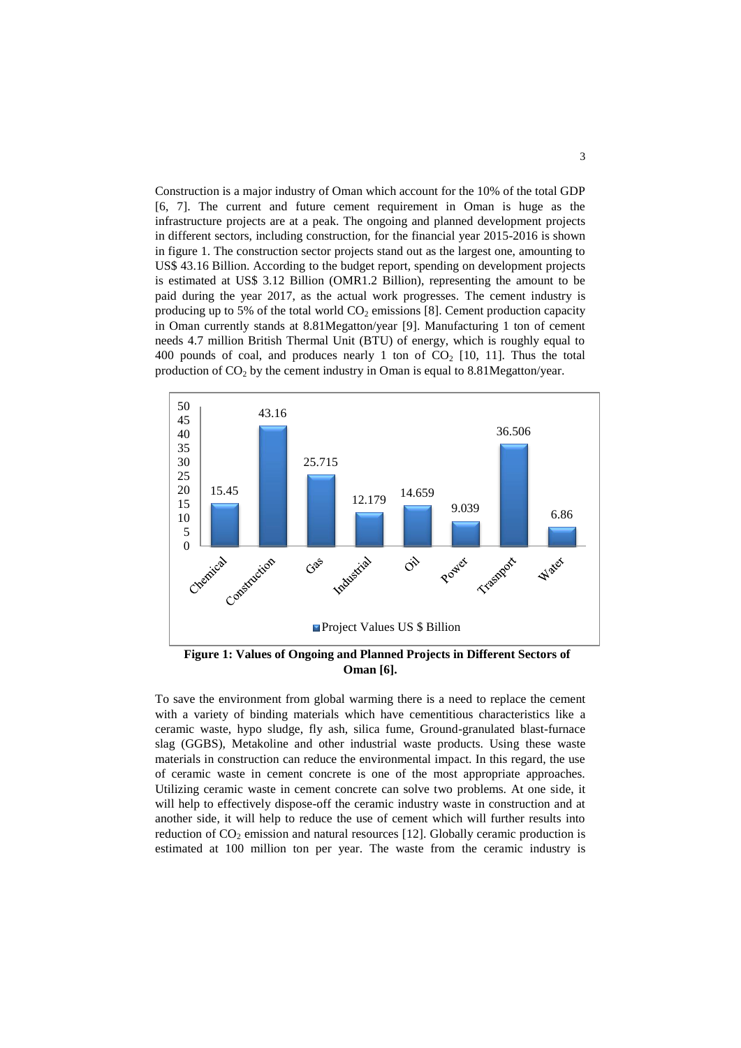Construction is a major industry of Oman which account for the 10% of the total GDP [6, 7]. The current and future cement requirement in Oman is huge as the infrastructure projects are at a peak. The ongoing and planned development projects in different sectors, including construction, for the financial year 2015-2016 is shown in figure 1. The construction sector projects stand out as the largest one, amounting to US\$ 43.16 Billion. According to the budget report, spending on development projects is estimated at US\$ 3.12 Billion (OMR1.2 Billion), representing the amount to be paid during the year 2017, as the actual work progresses. The cement industry is producing up to 5% of the total world  $CO<sub>2</sub>$  emissions [8]. Cement production capacity in Oman currently stands at 8.81Megatton/year [9]. Manufacturing 1 ton of cement needs 4.7 million British Thermal Unit (BTU) of energy, which is roughly equal to 400 pounds of coal, and produces nearly 1 ton of  $CO<sub>2</sub>$  [10, 11]. Thus the total production of  $CO<sub>2</sub>$  by the cement industry in Oman is equal to 8.81Megatton/year.



**Figure 1: Values of Ongoing and Planned Projects in Different Sectors of Oman [6].**

To save the environment from global warming there is a need to replace the cement with a variety of binding materials which have cementitious characteristics like a ceramic waste, hypo sludge, fly ash, silica fume, Ground-granulated blast-furnace slag (GGBS), Metakoline and other industrial waste products. Using these waste materials in construction can reduce the environmental impact. In this regard, the use of ceramic waste in cement concrete is one of the most appropriate approaches. Utilizing ceramic waste in cement concrete can solve two problems. At one side, it will help to effectively dispose-off the ceramic industry waste in construction and at another side, it will help to reduce the use of cement which will further results into reduction of  $CO<sub>2</sub>$  emission and natural resources [12]. Globally ceramic production is estimated at 100 million ton per year. The waste from the ceramic industry is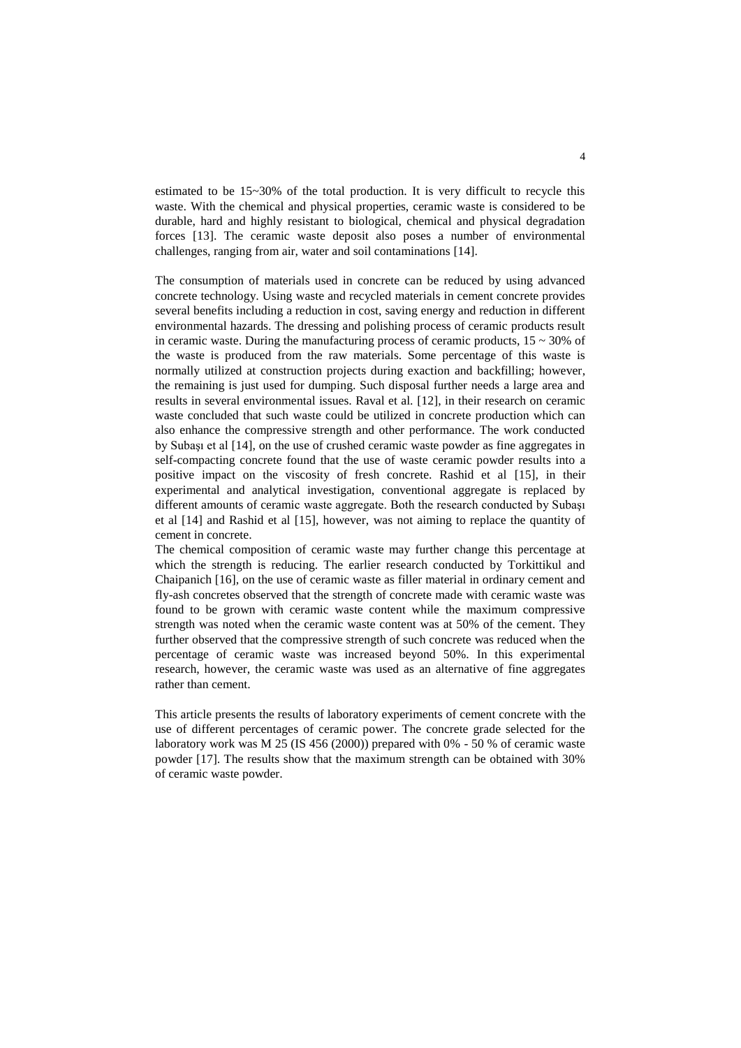estimated to be 15~30% of the total production. It is very difficult to recycle this waste. With the chemical and physical properties, ceramic waste is considered to be durable, hard and highly resistant to biological, chemical and physical degradation forces [13]. The ceramic waste deposit also poses a number of environmental challenges, ranging from air, water and soil contaminations [14].

The consumption of materials used in concrete can be reduced by using advanced concrete technology. Using waste and recycled materials in cement concrete provides several benefits including a reduction in cost, saving energy and reduction in different environmental hazards. The dressing and polishing process of ceramic products result in ceramic waste. During the manufacturing process of ceramic products,  $15 \sim 30\%$  of the waste is produced from the raw materials. Some percentage of this waste is normally utilized at construction projects during exaction and backfilling; however, the remaining is just used for dumping. Such disposal further needs a large area and results in several environmental issues. Raval et al. [12], in their research on ceramic waste concluded that such waste could be utilized in concrete production which can also enhance the compressive strength and other performance. The work conducted by Subaşı et al [14], on the use of crushed ceramic waste powder as fine aggregates in self-compacting concrete found that the use of waste ceramic powder results into a positive impact on the viscosity of fresh concrete. Rashid et al [15], in their experimental and analytical investigation, conventional aggregate is replaced by different amounts of ceramic waste aggregate. Both the research conducted by Subaşı et al [14] and Rashid et al [15], however, was not aiming to replace the quantity of cement in concrete.

The chemical composition of ceramic waste may further change this percentage at which the strength is reducing. The earlier research conducted by Torkittikul and Chaipanich [16], on the use of ceramic waste as filler material in ordinary cement and fly-ash concretes observed that the strength of concrete made with ceramic waste was found to be grown with ceramic waste content while the maximum compressive strength was noted when the ceramic waste content was at 50% of the cement. They further observed that the compressive strength of such concrete was reduced when the percentage of ceramic waste was increased beyond 50%. In this experimental research, however, the ceramic waste was used as an alternative of fine aggregates rather than cement.

This article presents the results of laboratory experiments of cement concrete with the use of different percentages of ceramic power. The concrete grade selected for the laboratory work was M 25 (IS 456 (2000)) prepared with 0% - 50 % of ceramic waste powder [17]. The results show that the maximum strength can be obtained with 30% of ceramic waste powder.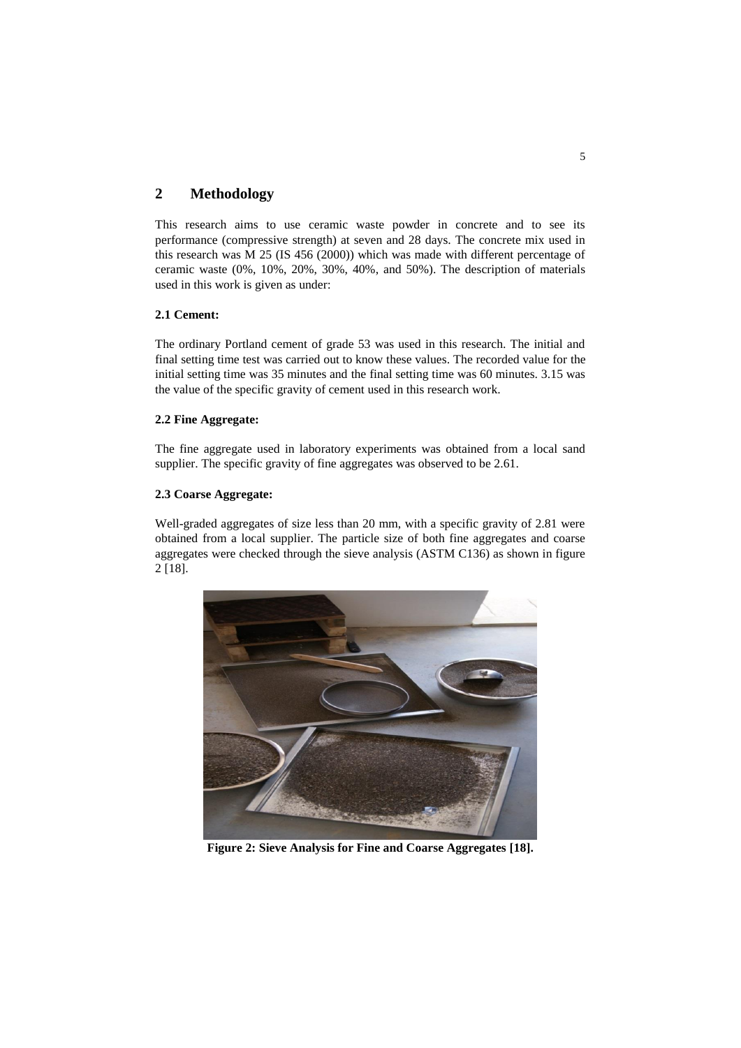## **2 Methodology**

This research aims to use ceramic waste powder in concrete and to see its performance (compressive strength) at seven and 28 days. The concrete mix used in this research was M 25 (IS 456 (2000)) which was made with different percentage of ceramic waste (0%, 10%, 20%, 30%, 40%, and 50%). The description of materials used in this work is given as under:

## **2.1 Cement:**

The ordinary Portland cement of grade 53 was used in this research. The initial and final setting time test was carried out to know these values. The recorded value for the initial setting time was 35 minutes and the final setting time was 60 minutes. 3.15 was the value of the specific gravity of cement used in this research work.

### **2.2 Fine Aggregate:**

The fine aggregate used in laboratory experiments was obtained from a local sand supplier. The specific gravity of fine aggregates was observed to be 2.61.

### **2.3 Coarse Aggregate:**

Well-graded aggregates of size less than 20 mm, with a specific gravity of 2.81 were obtained from a local supplier. The particle size of both fine aggregates and coarse aggregates were checked through the sieve analysis (ASTM C136) as shown in figure 2 [18].



**Figure 2: Sieve Analysis for Fine and Coarse Aggregates [18].**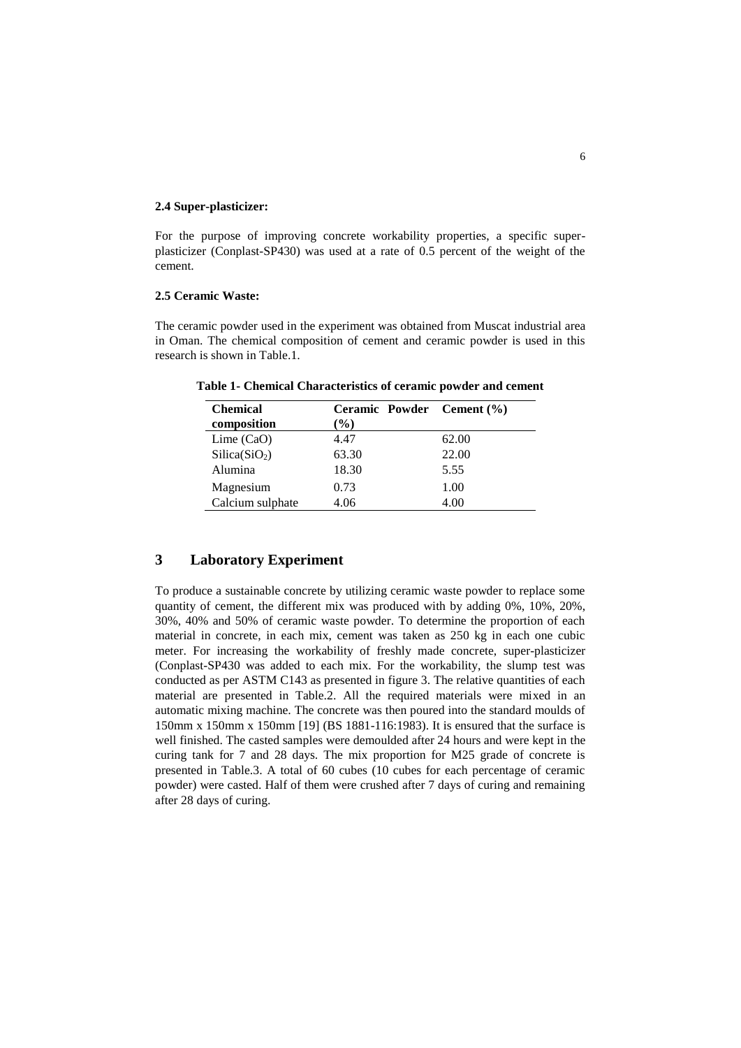#### **2.4 Super-plasticizer:**

For the purpose of improving concrete workability properties, a specific superplasticizer (Conplast-SP430) was used at a rate of 0.5 percent of the weight of the cement.

#### **2.5 Ceramic Waste:**

The ceramic powder used in the experiment was obtained from Muscat industrial area in Oman. The chemical composition of cement and ceramic powder is used in this research is shown in Table.1.

| <b>Chemical</b>           | Ceramic Powder Cement (%) |       |
|---------------------------|---------------------------|-------|
| composition               | $\%$                      |       |
| Lime $(CaO)$              | 4.47                      | 62.00 |
| Silica(SiO <sub>2</sub> ) | 63.30                     | 22.00 |
| Alumina                   | 18.30                     | 5.55  |
| Magnesium                 | 0.73                      | 1.00  |
| Calcium sulphate          | 4.06                      | 4.00  |

**Table 1- Chemical Characteristics of ceramic powder and cement**

## **3 Laboratory Experiment**

To produce a sustainable concrete by utilizing ceramic waste powder to replace some quantity of cement, the different mix was produced with by adding 0%, 10%, 20%, 30%, 40% and 50% of ceramic waste powder. To determine the proportion of each material in concrete, in each mix, cement was taken as 250 kg in each one cubic meter. For increasing the workability of freshly made concrete, super-plasticizer (Conplast-SP430 was added to each mix. For the workability, the slump test was conducted as per ASTM C143 as presented in figure 3. The relative quantities of each material are presented in Table.2. All the required materials were mixed in an automatic mixing machine. The concrete was then poured into the standard moulds of 150mm x 150mm x 150mm [19] (BS 1881-116:1983). It is ensured that the surface is well finished. The casted samples were demoulded after 24 hours and were kept in the curing tank for 7 and 28 days. The mix proportion for M25 grade of concrete is presented in Table.3. A total of 60 cubes (10 cubes for each percentage of ceramic powder) were casted. Half of them were crushed after 7 days of curing and remaining after 28 days of curing.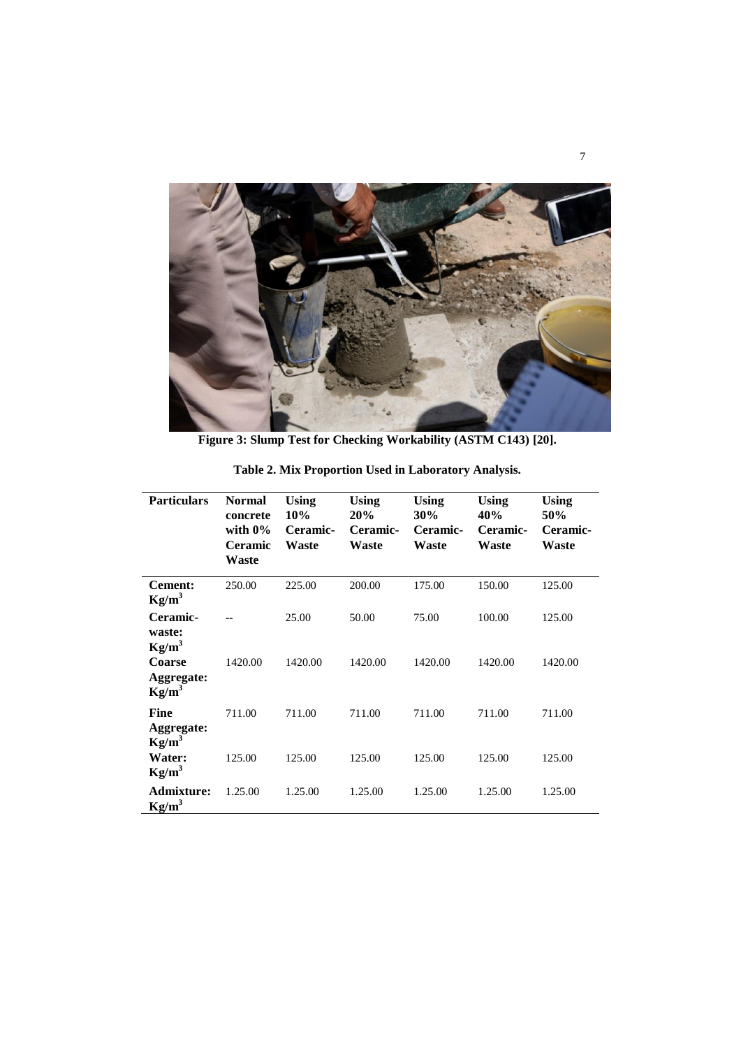

**Figure 3: Slump Test for Checking Workability (ASTM C143) [20].**

| <b>Particulars</b>                    | <b>Normal</b><br>concrete<br>with $0\%$<br><b>Ceramic</b><br>Waste | Using<br>10%<br>Ceramic-<br>Waste | Using<br>20%<br>Ceramic-<br>Waste | <b>Using</b><br>30%<br>Ceramic-<br>Waste | Using<br>40%<br>Ceramic-<br><b>Waste</b> | Using<br>50%<br>Ceramic-<br>Waste |
|---------------------------------------|--------------------------------------------------------------------|-----------------------------------|-----------------------------------|------------------------------------------|------------------------------------------|-----------------------------------|
| <b>Cement:</b><br>$Kg/m^3$            | 250.00                                                             | 225.00                            | 200.00                            | 175.00                                   | 150.00                                   | 125.00                            |
| Ceramic-<br>waste:<br>$Kg/m^3$        |                                                                    | 25.00                             | 50.00                             | 75.00                                    | 100.00                                   | 125.00                            |
| Coarse<br>Aggregate:<br>$Kg/m^3$      | 1420.00                                                            | 1420.00                           | 1420.00                           | 1420.00                                  | 1420.00                                  | 1420.00                           |
| Fine<br>Aggregate:<br>$\text{Kg/m}^3$ | 711.00                                                             | 711.00                            | 711.00                            | 711.00                                   | 711.00                                   | 711.00                            |
| Water:<br>$Kg/m^3$                    | 125.00                                                             | 125.00                            | 125.00                            | 125.00                                   | 125.00                                   | 125.00                            |
| <b>Admixture:</b><br>$Kg/m^3$         | 1.25.00                                                            | 1.25.00                           | 1.25.00                           | 1.25.00                                  | 1.25.00                                  | 1.25.00                           |

**Table 2. Mix Proportion Used in Laboratory Analysis.**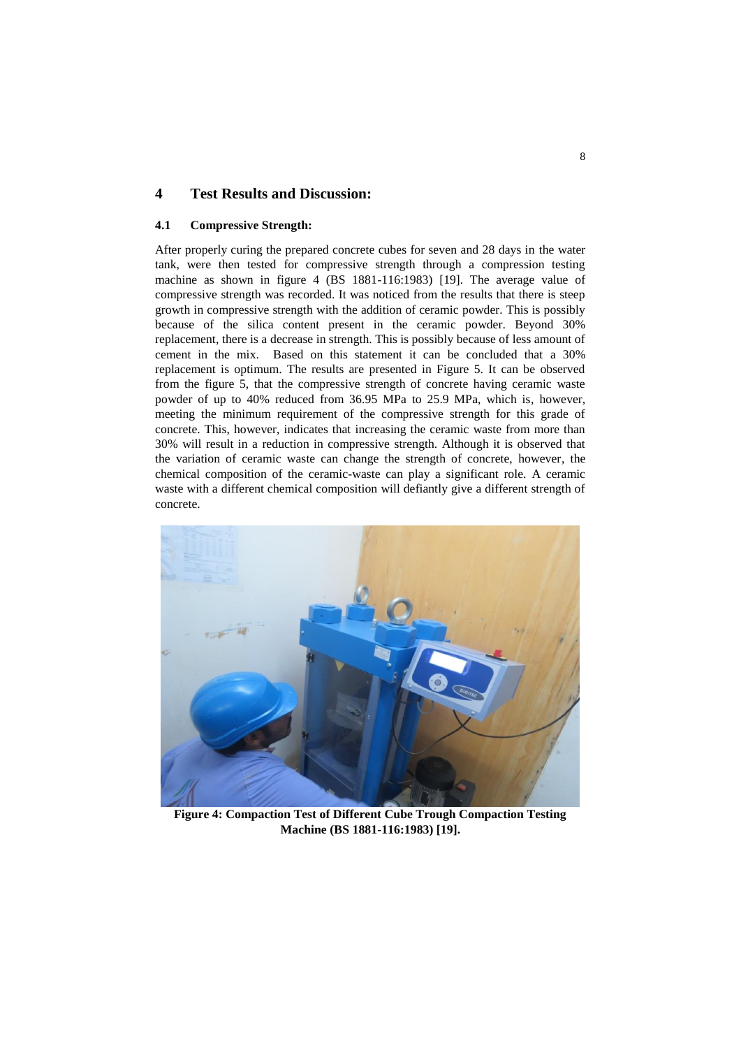## **4 Test Results and Discussion:**

### **4.1 Compressive Strength:**

After properly curing the prepared concrete cubes for seven and 28 days in the water tank, were then tested for compressive strength through a compression testing machine as shown in figure 4 (BS 1881-116:1983) [19]. The average value of compressive strength was recorded. It was noticed from the results that there is steep growth in compressive strength with the addition of ceramic powder. This is possibly because of the silica content present in the ceramic powder. Beyond 30% replacement, there is a decrease in strength. This is possibly because of less amount of cement in the mix. Based on this statement it can be concluded that a 30% replacement is optimum. The results are presented in Figure 5. It can be observed from the figure 5, that the compressive strength of concrete having ceramic waste powder of up to 40% reduced from 36.95 MPa to 25.9 MPa, which is, however, meeting the minimum requirement of the compressive strength for this grade of concrete. This, however, indicates that increasing the ceramic waste from more than 30% will result in a reduction in compressive strength. Although it is observed that the variation of ceramic waste can change the strength of concrete, however, the chemical composition of the ceramic-waste can play a significant role. A ceramic waste with a different chemical composition will defiantly give a different strength of concrete.



**Figure 4: Compaction Test of Different Cube Trough Compaction Testing Machine (BS 1881-116:1983) [19].**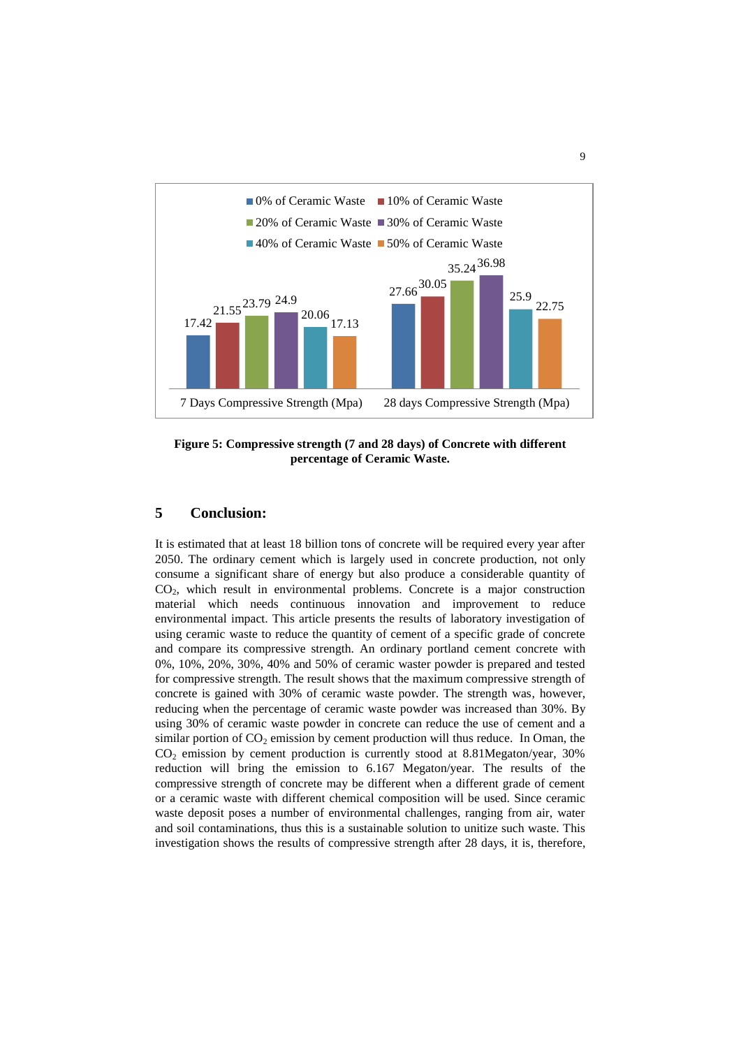

**Figure 5: Compressive strength (7 and 28 days) of Concrete with different percentage of Ceramic Waste.**

## **5 Conclusion:**

It is estimated that at least 18 billion tons of concrete will be required every year after 2050. The ordinary cement which is largely used in concrete production, not only consume a significant share of energy but also produce a considerable quantity of CO2, which result in environmental problems. Concrete is a major construction material which needs continuous innovation and improvement to reduce environmental impact. This article presents the results of laboratory investigation of using ceramic waste to reduce the quantity of cement of a specific grade of concrete and compare its compressive strength. An ordinary portland cement concrete with 0%, 10%, 20%, 30%, 40% and 50% of ceramic waster powder is prepared and tested for compressive strength. The result shows that the maximum compressive strength of concrete is gained with 30% of ceramic waste powder. The strength was, however, reducing when the percentage of ceramic waste powder was increased than 30%. By using 30% of ceramic waste powder in concrete can reduce the use of cement and a similar portion of  $CO<sub>2</sub>$  emission by cement production will thus reduce. In Oman, the  $CO<sub>2</sub>$  emission by cement production is currently stood at 8.81Megaton/year, 30% reduction will bring the emission to 6.167 Megaton/year. The results of the compressive strength of concrete may be different when a different grade of cement or a ceramic waste with different chemical composition will be used. Since ceramic waste deposit poses a number of environmental challenges, ranging from air, water and soil contaminations, thus this is a sustainable solution to unitize such waste. This investigation shows the results of compressive strength after 28 days, it is, therefore,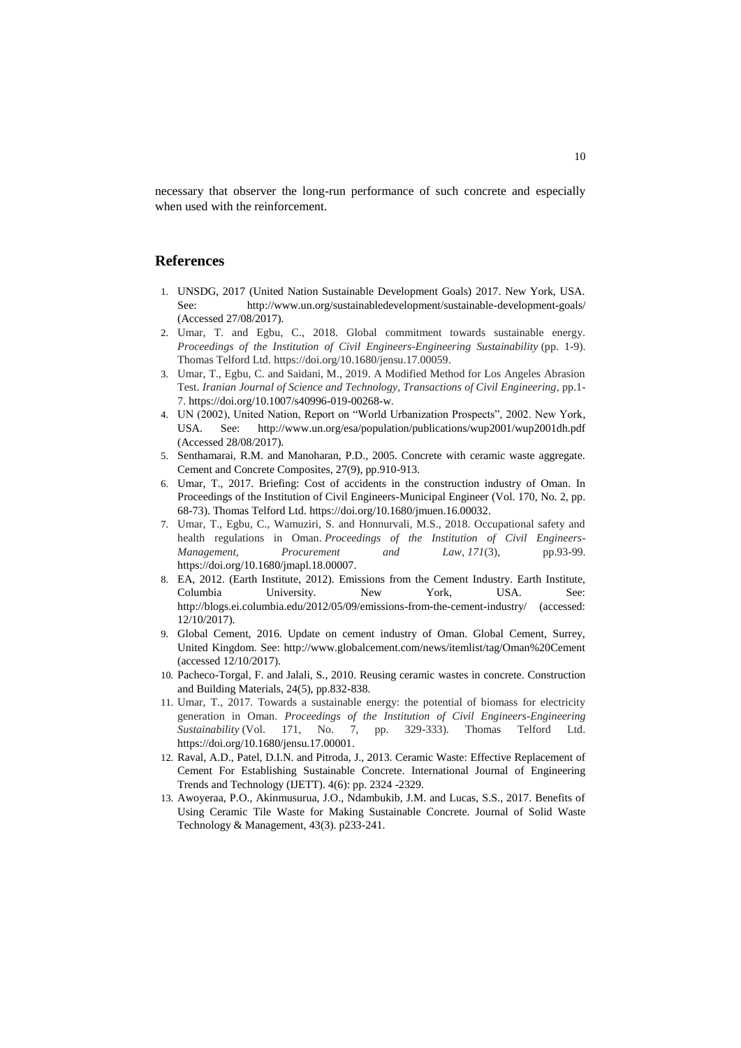necessary that observer the long-run performance of such concrete and especially when used with the reinforcement.

## **References**

- 1. UNSDG, 2017 (United Nation Sustainable Development Goals) 2017. New York, USA. See: http://www.un.org/sustainabledevelopment/sustainable-development-goals/ (Accessed 27/08/2017).
- 2. Umar, T. and Egbu, C., 2018. Global commitment towards sustainable energy. *Proceedings of the Institution of Civil Engineers-Engineering Sustainability* (pp. 1-9). Thomas Telford Ltd. https://doi.org/10.1680/jensu.17.00059.
- 3. Umar, T., Egbu, C. and Saidani, M., 2019. A Modified Method for Los Angeles Abrasion Test. *Iranian Journal of Science and Technology, Transactions of Civil Engineering*, pp.1- 7. [https://doi.org/10.1007/s40996-019-00268-w.](https://doi.org/10.1007/s40996-019-00268-w)
- 4. UN (2002), United Nation, Report on "World Urbanization Prospects", 2002. New York, USA. See: http://www.un.org/esa/population/publications/wup2001/wup2001dh.pdf (Accessed 28/08/2017).
- 5. Senthamarai, R.M. and Manoharan, P.D., 2005. Concrete with ceramic waste aggregate. Cement and Concrete Composites, 27(9), pp.910-913.
- 6. Umar, T., 2017. Briefing: Cost of accidents in the construction industry of Oman. In Proceedings of the Institution of Civil Engineers-Municipal Engineer (Vol. 170, No. 2, pp. 68-73). Thomas Telford Ltd[. https://doi.org/10.1680/jmuen.16.00032.](https://doi.org/10.1680/jmuen.16.00032)
- 7. Umar, T., Egbu, C., Wamuziri, S. and Honnurvali, M.S., 2018. Occupational safety and health regulations in Oman. *Proceedings of the Institution of Civil Engineers-Management, Procurement and Law*, *171*(3), pp.93-99. https://doi.org/10.1680/jmapl.18.00007.
- 8. EA, 2012. (Earth Institute, 2012). Emissions from the Cement Industry. Earth Institute, Columbia University. New York, USA. See: http://blogs.ei.columbia.edu/2012/05/09/emissions-from-the-cement-industry/ (accessed: 12/10/2017).
- 9. Global Cement, 2016. Update on cement industry of Oman. Global Cement, Surrey, United Kingdom. See: http://www.globalcement.com/news/itemlist/tag/Oman%20Cement (accessed 12/10/2017).
- 10. Pacheco-Torgal, F. and Jalali, S., 2010. Reusing ceramic wastes in concrete. Construction and Building Materials, 24(5), pp.832-838.
- 11. Umar, T., 2017. Towards a sustainable energy: the potential of biomass for electricity generation in Oman. *Proceedings of the Institution of Civil Engineers-Engineering Sustainability* (Vol. 171, No. 7, pp. 329-333). Thomas Telford Ltd. [https://doi.org/10.1680/jensu.17.00001.](https://doi.org/10.1680/jensu.17.00001)
- 12. Raval, A.D., Patel, D.I.N. and Pitroda, J., 2013. Ceramic Waste: Effective Replacement of Cement For Establishing Sustainable Concrete. International Journal of Engineering Trends and Technology (IJETT). 4(6): pp. 2324 -2329.
- 13. Awoyeraa, P.O., Akinmusurua, J.O., Ndambukib, J.M. and Lucas, S.S., 2017. Benefits of Using Ceramic Tile Waste for Making Sustainable Concrete. Journal of Solid Waste Technology & Management, 43(3). p233-241.